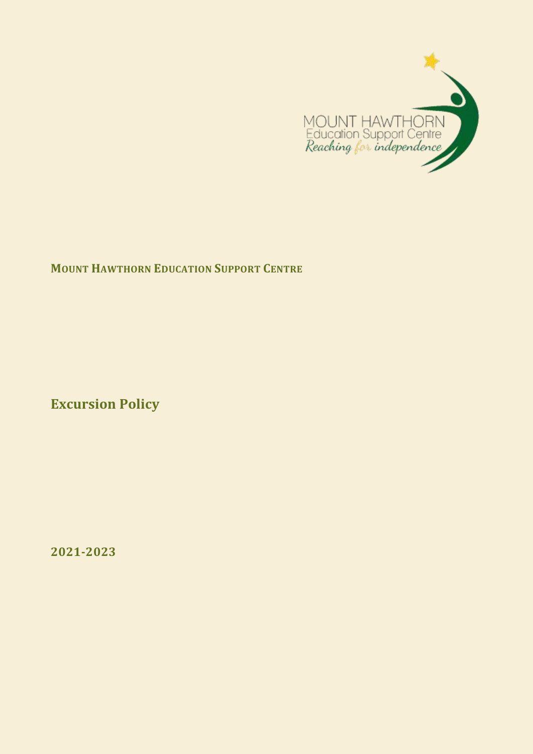

## **MOUNT HAWTHORN EDUCATION SUPPORT CENTRE**

**Excursion Policy**

**2021-2023**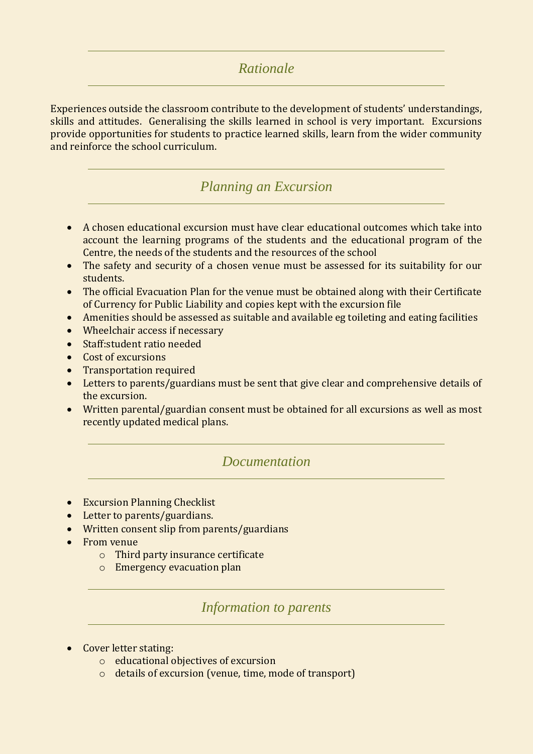## *Rationale*

Experiences outside the classroom contribute to the development of students' understandings, skills and attitudes. Generalising the skills learned in school is very important. Excursions provide opportunities for students to practice learned skills, learn from the wider community and reinforce the school curriculum.

## *Planning an Excursion*

- A chosen educational excursion must have clear educational outcomes which take into account the learning programs of the students and the educational program of the Centre, the needs of the students and the resources of the school
- The safety and security of a chosen venue must be assessed for its suitability for our students.
- The official Evacuation Plan for the venue must be obtained along with their Certificate of Currency for Public Liability and copies kept with the excursion file
- Amenities should be assessed as suitable and available eg toileting and eating facilities
- Wheelchair access if necessary
- Staff:student ratio needed
- Cost of excursions
- Transportation required
- Letters to parents/guardians must be sent that give clear and comprehensive details of the excursion.
- Written parental/guardian consent must be obtained for all excursions as well as most recently updated medical plans.

### *Documentation*

- **•** Excursion Planning Checklist
- Letter to parents/guardians.
- Written consent slip from parents/guardians
- From venue
	- o Third party insurance certificate
	- o Emergency evacuation plan

*Information to parents*

- Cover letter stating:
	- o educational objectives of excursion
	- o details of excursion (venue, time, mode of transport)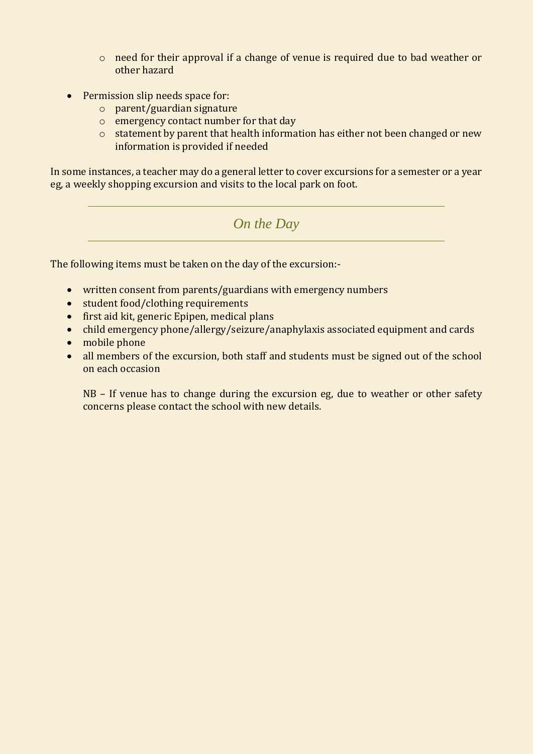- o need for their approval if a change of venue is required due to bad weather or other hazard
- Permission slip needs space for:
	- o parent/guardian signature
	- o emergency contact number for that day
	- o statement by parent that health information has either not been changed or new information is provided if needed

In some instances, a teacher may do a general letter to cover excursions for a semester or a year eg, a weekly shopping excursion and visits to the local park on foot.

## *On the Day*

The following items must be taken on the day of the excursion:-

- written consent from parents/guardians with emergency numbers
- student food/clothing requirements
- first aid kit, generic Epipen, medical plans
- child emergency phone/allergy/seizure/anaphylaxis associated equipment and cards
- mobile phone
- all members of the excursion, both staff and students must be signed out of the school on each occasion

NB – If venue has to change during the excursion eg, due to weather or other safety concerns please contact the school with new details.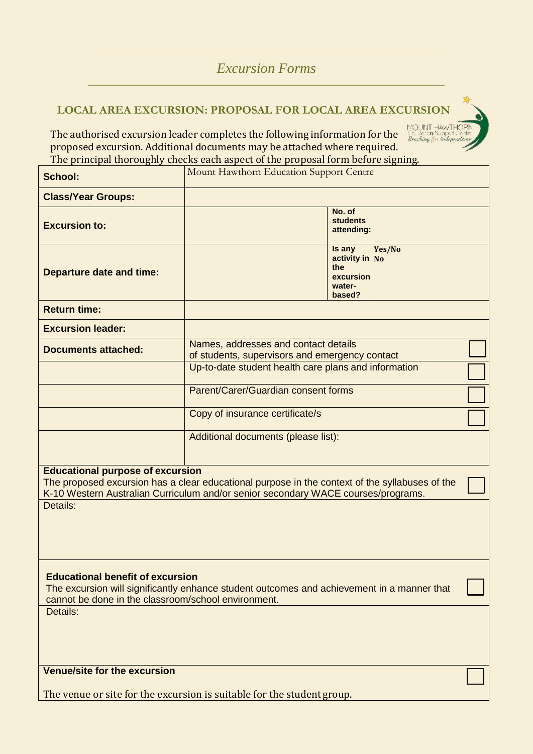# *Excursion Forms*

## **LOCAL AREA EXCURSION: PROPOSAL FOR LOCAL AREA EXCURSION**

MOUNT HAWTHOT<br>Est conson Support Car<br>*Renching for findsponds* The authorised excursion leader completes the following information for the proposed excursion. Additional documents may be attached where required. The principal thoroughly checks each aspect of the proposal form before signing.

| <b>School:</b>                                                                                                                                                                                                                             | Mount Hawthorn Education Support Centre                                                                                                        |  |  |  |
|--------------------------------------------------------------------------------------------------------------------------------------------------------------------------------------------------------------------------------------------|------------------------------------------------------------------------------------------------------------------------------------------------|--|--|--|
| <b>Class/Year Groups:</b>                                                                                                                                                                                                                  |                                                                                                                                                |  |  |  |
| <b>Excursion to:</b>                                                                                                                                                                                                                       | No. of<br><b>students</b><br>attending:                                                                                                        |  |  |  |
| <b>Departure date and time:</b>                                                                                                                                                                                                            | Is any<br>Yes/No<br>activity in No<br>the<br>excursion<br>water-<br>based?                                                                     |  |  |  |
| <b>Return time:</b>                                                                                                                                                                                                                        |                                                                                                                                                |  |  |  |
| <b>Excursion leader:</b>                                                                                                                                                                                                                   |                                                                                                                                                |  |  |  |
| <b>Documents attached:</b>                                                                                                                                                                                                                 | Names, addresses and contact details<br>of students, supervisors and emergency contact<br>Up-to-date student health care plans and information |  |  |  |
|                                                                                                                                                                                                                                            |                                                                                                                                                |  |  |  |
|                                                                                                                                                                                                                                            | Parent/Carer/Guardian consent forms                                                                                                            |  |  |  |
|                                                                                                                                                                                                                                            | Copy of insurance certificate/s                                                                                                                |  |  |  |
|                                                                                                                                                                                                                                            | Additional documents (please list):                                                                                                            |  |  |  |
| <b>Educational purpose of excursion</b><br>The proposed excursion has a clear educational purpose in the context of the syllabuses of the<br>K-10 Western Australian Curriculum and/or senior secondary WACE courses/programs.<br>Details: |                                                                                                                                                |  |  |  |
|                                                                                                                                                                                                                                            |                                                                                                                                                |  |  |  |
| <b>Educational benefit of excursion</b><br>The excursion will significantly enhance student outcomes and achievement in a manner that<br>cannot be done in the classroom/school environment.                                               |                                                                                                                                                |  |  |  |
| Details:                                                                                                                                                                                                                                   |                                                                                                                                                |  |  |  |
| Venue/site for the excursion                                                                                                                                                                                                               |                                                                                                                                                |  |  |  |
| The venue or site for the excursion is suitable for the student group.                                                                                                                                                                     |                                                                                                                                                |  |  |  |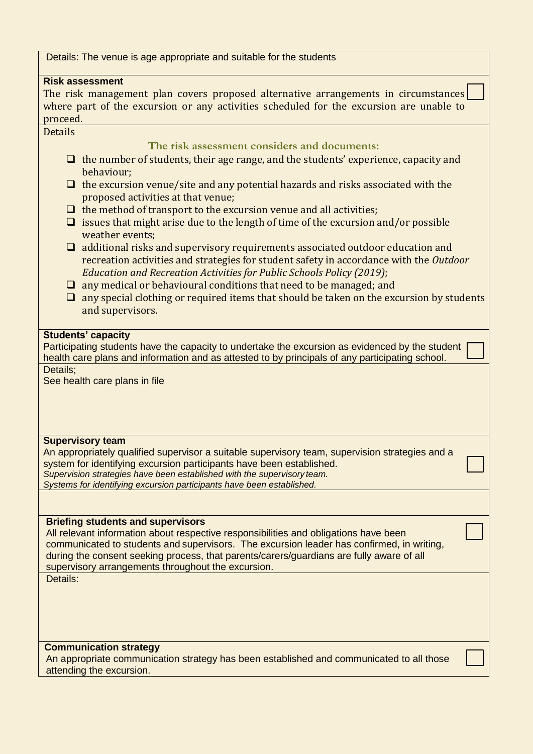Details: The venue is age appropriate and suitable for the students

#### **Risk assessment**

The risk management plan covers proposed alternative arrangements in circumstances where part of the excursion or any activities scheduled for the excursion are unable to proceed.

#### **Details**

**The risk assessment considers and documents:** 

- $\Box$  the number of students, their age range, and the students' experience, capacity and behaviour;
- $\Box$  the excursion venue/site and any potential hazards and risks associated with the proposed activities at that venue;
- $\Box$  the method of transport to the excursion venue and all activities;
- $\Box$  issues that might arise due to the length of time of the excursion and/or possible weather events;
- $\Box$  additional risks and supervisory requirements associated outdoor education and recreation activities and strategies for student safety in accordance with the *Outdoor Education and Recreation Activities for Public Schools Policy (2019)*;
- $\Box$  any medical or behavioural conditions that need to be managed; and
- $\Box$  any special clothing or required items that should be taken on the excursion by students and supervisors.

#### **Students' capacity**

Participating students have the capacity to undertake the excursion as evidenced by the student health care plans and information and as attested to by principals of any participating school. Details;

See health care plans in file

#### **Supervisory team**

An appropriately qualified supervisor a suitable supervisory team, supervision strategies and a system for identifying excursion participants have been established. *Supervision strategies have been established with the supervisory team. Systems for identifying excursion participants have been established.*

#### **Briefing students and supervisors**

All relevant information about respective responsibilities and obligations have been communicated to students and supervisors. The excursion leader has confirmed, in writing, during the consent seeking process, that parents/carers/guardians are fully aware of all supervisory arrangements throughout the excursion. Details:

#### **Communication strategy**

An appropriate communication strategy has been established and communicated to all those attending the excursion.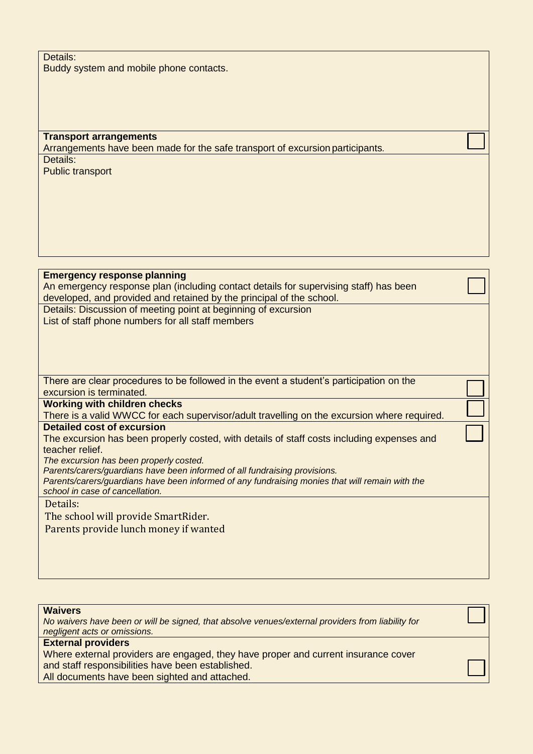Details: Buddy system and mobile phone contacts.

**Transport arrangements** Arrangements have been made for the safe transport of excursion participants*.* Details: Public transport

**Emergency response planning** An emergency response plan (including contact details for supervising staff) has been developed, and provided and retained by the principal of the school. Details: Discussion of meeting point at beginning of excursion List of staff phone numbers for all staff members There are clear procedures to be followed in the event a student's participation on the excursion is terminated. **Working with children checks** There is a valid WWCC for each supervisor/adult travelling on the excursion where required. **Detailed cost of excursion** The excursion has been properly costed, with details of staff costs including expenses and teacher relief. *The excursion has been properly costed. Parents/carers/guardians have been informed of all fundraising provisions. Parents/carers/guardians have been informed of any fundraising monies that will remain with the school in case of cancellation.*

Details:

The school will provide SmartRider.

Parents provide lunch money if wanted

| <b>Waivers</b> |  |  |
|----------------|--|--|
|                |  |  |

*No waivers have been or will be signed, that absolve venues/external providers from liability for negligent acts or omissions.*

#### **External providers**

Where external providers are engaged, they have proper and current insurance cover and staff responsibilities have been established.

All documents have been sighted and attached.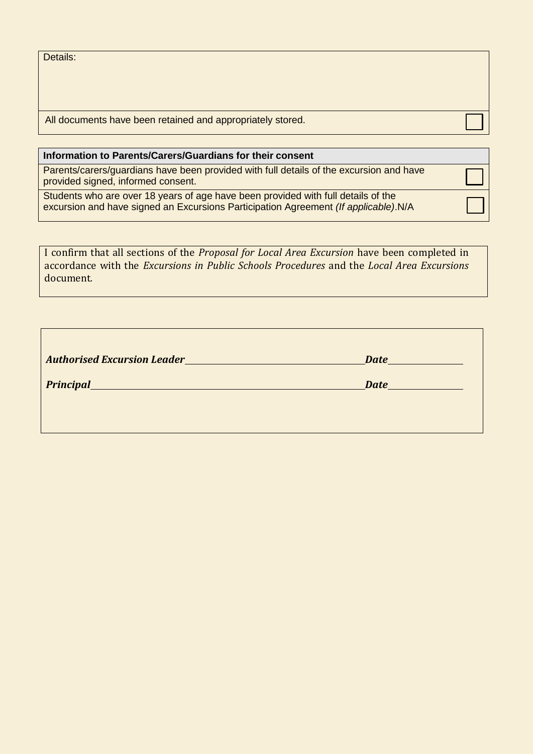|  |  | Details: |
|--|--|----------|
|  |  |          |

All documents have been retained and appropriately stored.

#### **Information to Parents/Carers/Guardians for their consent**

Parents/carers/guardians have been provided with full details of the excursion and have provided signed, informed consent.

Students who are over 18 years of age have been provided with full details of the excursion and have signed an Excursions Participation Agreement *(If applicable)*.N/A

I confirm that all sections of the *Proposal for Local Area Excursion* have been completed in accordance with the *Excursions in Public Schools Procedures* and the *Local Area Excursions*  document*.*

| <b>Authorised Excursion Leader_</b> | Date                                          |
|-------------------------------------|-----------------------------------------------|
| <b>Principal</b>                    | Date<br>de la construcción de la construcción |
|                                     |                                               |
|                                     |                                               |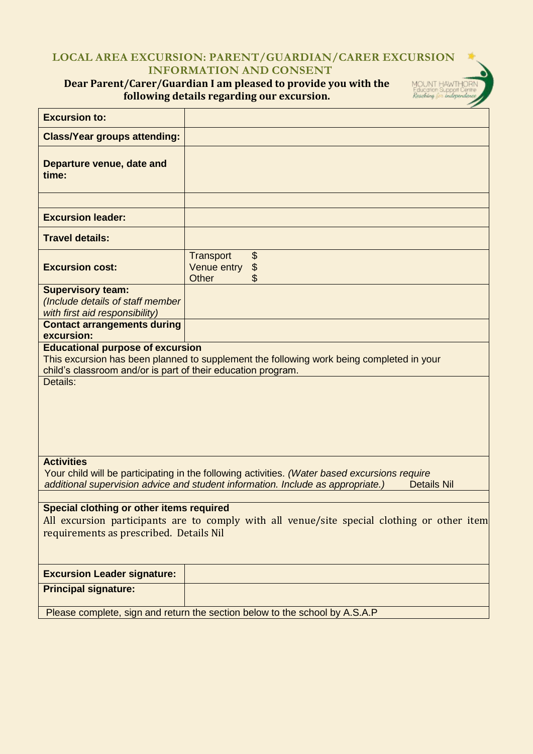### **LOCAL AREA EXCURSION: PARENT/GUARDIAN/CARER EXCURSION INFORMATION AND CONSENT**

MOUNT HAWTHO<br>Education Support Cer<br>*Reaching (m. independe* 

## **Dear Parent/Carer/Guardian I am pleased to provide you with the following details regarding our excursion.**

| <b>Excursion to:</b>                                                                                                                                                                                                        |                                                                                          |  |  |
|-----------------------------------------------------------------------------------------------------------------------------------------------------------------------------------------------------------------------------|------------------------------------------------------------------------------------------|--|--|
| <b>Class/Year groups attending:</b>                                                                                                                                                                                         |                                                                                          |  |  |
| Departure venue, date and<br>time:                                                                                                                                                                                          |                                                                                          |  |  |
| <b>Excursion leader:</b>                                                                                                                                                                                                    |                                                                                          |  |  |
|                                                                                                                                                                                                                             |                                                                                          |  |  |
| <b>Travel details:</b>                                                                                                                                                                                                      |                                                                                          |  |  |
| <b>Excursion cost:</b>                                                                                                                                                                                                      | \$<br><b>Transport</b><br>\$<br>Venue entry<br><b>Other</b>                              |  |  |
| <b>Supervisory team:</b><br>(Include details of staff member<br>with first aid responsibility)                                                                                                                              |                                                                                          |  |  |
| <b>Contact arrangements during</b><br>excursion:                                                                                                                                                                            |                                                                                          |  |  |
| <b>Educational purpose of excursion</b><br>child's classroom and/or is part of their education program.<br>Details:                                                                                                         | This excursion has been planned to supplement the following work being completed in your |  |  |
| <b>Activities</b><br>Your child will be participating in the following activities. (Water based excursions require<br>additional supervision advice and student information. Include as appropriate.)<br><b>Details Nil</b> |                                                                                          |  |  |
| Special clothing or other items required<br>All excursion participants are to comply with all venue/site special clothing or other item<br>requirements as prescribed. Details Nil                                          |                                                                                          |  |  |
| <b>Excursion Leader signature:</b>                                                                                                                                                                                          |                                                                                          |  |  |
| <b>Principal signature:</b>                                                                                                                                                                                                 |                                                                                          |  |  |
|                                                                                                                                                                                                                             | Please complete, sign and return the section below to the school by A.S.A.P              |  |  |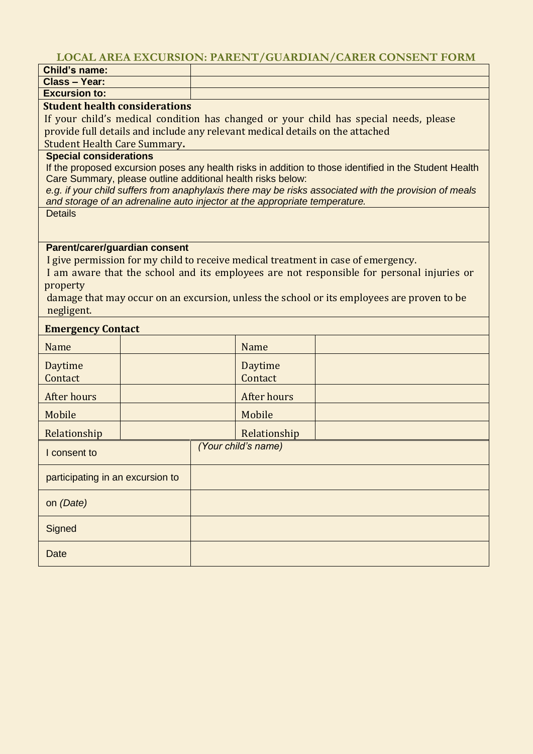## **LOCAL AREA EXCURSION: PARENT/GUARDIAN/CARER CONSENT FORM**

| <b>Child's name:</b>                 |                                     |                                                                                                        |  |  |  |
|--------------------------------------|-------------------------------------|--------------------------------------------------------------------------------------------------------|--|--|--|
| <b>Class - Year:</b>                 |                                     |                                                                                                        |  |  |  |
| <b>Excursion to:</b>                 |                                     |                                                                                                        |  |  |  |
| <b>Student health considerations</b> |                                     |                                                                                                        |  |  |  |
|                                      |                                     | If your child's medical condition has changed or your child has special needs, please                  |  |  |  |
|                                      |                                     | provide full details and include any relevant medical details on the attached                          |  |  |  |
|                                      | <b>Student Health Care Summary.</b> |                                                                                                        |  |  |  |
| <b>Special considerations</b>        |                                     | If the proposed excursion poses any health risks in addition to those identified in the Student Health |  |  |  |
|                                      |                                     | Care Summary, please outline additional health risks below:                                            |  |  |  |
|                                      |                                     | e.g. if your child suffers from anaphylaxis there may be risks associated with the provision of meals  |  |  |  |
|                                      |                                     | and storage of an adrenaline auto injector at the appropriate temperature.                             |  |  |  |
| <b>Details</b>                       |                                     |                                                                                                        |  |  |  |
|                                      |                                     |                                                                                                        |  |  |  |
| Parent/carer/guardian consent        |                                     |                                                                                                        |  |  |  |
|                                      |                                     | I give permission for my child to receive medical treatment in case of emergency.                      |  |  |  |
|                                      |                                     | I am aware that the school and its employees are not responsible for personal injuries or              |  |  |  |
| property                             |                                     |                                                                                                        |  |  |  |
|                                      |                                     | damage that may occur on an excursion, unless the school or its employees are proven to be             |  |  |  |
| negligent.                           |                                     |                                                                                                        |  |  |  |
| <b>Emergency Contact</b>             |                                     |                                                                                                        |  |  |  |
| Name                                 |                                     | Name                                                                                                   |  |  |  |
| Daytime                              |                                     | Daytime                                                                                                |  |  |  |
| Contact                              |                                     | Contact                                                                                                |  |  |  |
| <b>After hours</b>                   |                                     | After hours                                                                                            |  |  |  |
| Mobile                               |                                     | Mobile                                                                                                 |  |  |  |
| Relationship                         |                                     | Relationship                                                                                           |  |  |  |
| I consent to                         |                                     | (Your child's name)                                                                                    |  |  |  |
|                                      |                                     |                                                                                                        |  |  |  |
| participating in an excursion to     |                                     |                                                                                                        |  |  |  |
| on (Date)                            |                                     |                                                                                                        |  |  |  |
| Signed                               |                                     |                                                                                                        |  |  |  |
|                                      |                                     |                                                                                                        |  |  |  |
| Date                                 |                                     |                                                                                                        |  |  |  |
|                                      |                                     |                                                                                                        |  |  |  |